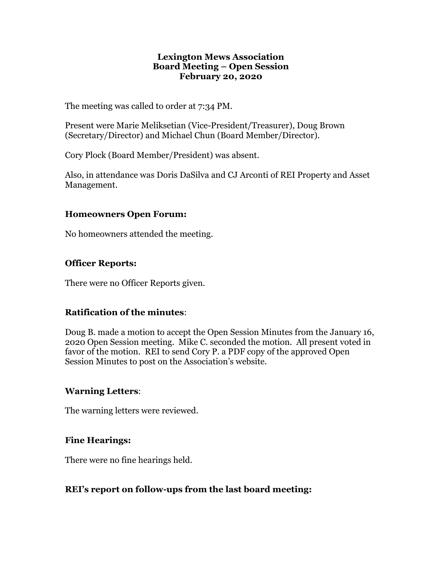#### **Lexington Mews Association Board Meeting – Open Session February 20, 2020**

The meeting was called to order at 7:34 PM.

Present were Marie Meliksetian (Vice-President/Treasurer), Doug Brown (Secretary/Director) and Michael Chun (Board Member/Director).

Cory Plock (Board Member/President) was absent.

Also, in attendance was Doris DaSilva and CJ Arconti of REI Property and Asset Management.

#### **Homeowners Open Forum:**

No homeowners attended the meeting.

# **Officer Reports:**

There were no Officer Reports given.

# **Ratification of the minutes**:

Doug B. made a motion to accept the Open Session Minutes from the January 16, 2020 Open Session meeting. Mike C. seconded the motion. All present voted in favor of the motion. REI to send Cory P. a PDF copy of the approved Open Session Minutes to post on the Association's website.

#### **Warning Letters**:

The warning letters were reviewed.

# **Fine Hearings:**

There were no fine hearings held.

# **REI's report on follow-ups from the last board meeting:**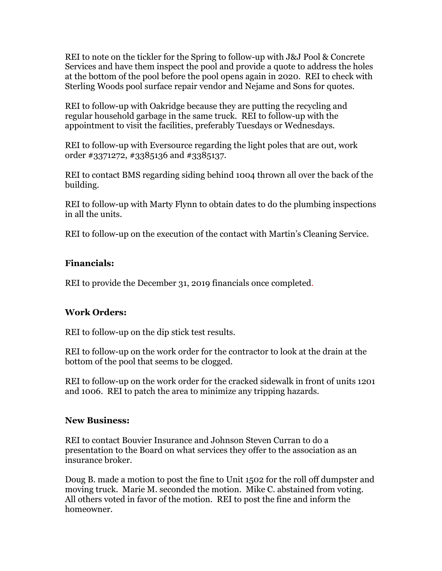REI to note on the tickler for the Spring to follow-up with J&J Pool & Concrete Services and have them inspect the pool and provide a quote to address the holes at the bottom of the pool before the pool opens again in 2020. REI to check with Sterling Woods pool surface repair vendor and Nejame and Sons for quotes.

REI to follow-up with Oakridge because they are putting the recycling and regular household garbage in the same truck. REI to follow-up with the appointment to visit the facilities, preferably Tuesdays or Wednesdays.

REI to follow-up with Eversource regarding the light poles that are out, work order #3371272, #3385136 and #3385137.

REI to contact BMS regarding siding behind 1004 thrown all over the back of the building.

REI to follow-up with Marty Flynn to obtain dates to do the plumbing inspections in all the units.

REI to follow-up on the execution of the contact with Martin's Cleaning Service.

# **Financials:**

REI to provide the December 31, 2019 financials once completed.

# **Work Orders:**

REI to follow-up on the dip stick test results.

REI to follow-up on the work order for the contractor to look at the drain at the bottom of the pool that seems to be clogged.

REI to follow-up on the work order for the cracked sidewalk in front of units 1201 and 1006. REI to patch the area to minimize any tripping hazards.

#### **New Business:**

REI to contact Bouvier Insurance and Johnson Steven Curran to do a presentation to the Board on what services they offer to the association as an insurance broker.

Doug B. made a motion to post the fine to Unit 1502 for the roll off dumpster and moving truck. Marie M. seconded the motion. Mike C. abstained from voting. All others voted in favor of the motion. REI to post the fine and inform the homeowner.